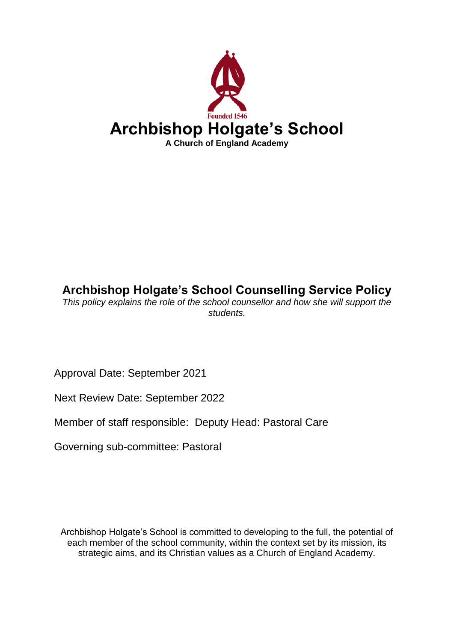

# **Archbishop Holgate's School Counselling Service Policy**

*This policy explains the role of the school counsellor and how she will support the students.*

Approval Date: September 2021

Next Review Date: September 2022

Member of staff responsible: Deputy Head: Pastoral Care

Governing sub-committee: Pastoral

Archbishop Holgate's School is committed to developing to the full, the potential of each member of the school community, within the context set by its mission, its strategic aims, and its Christian values as a Church of England Academy.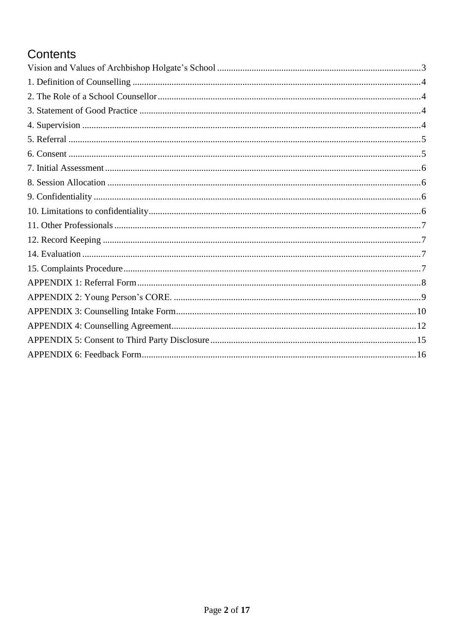# Contents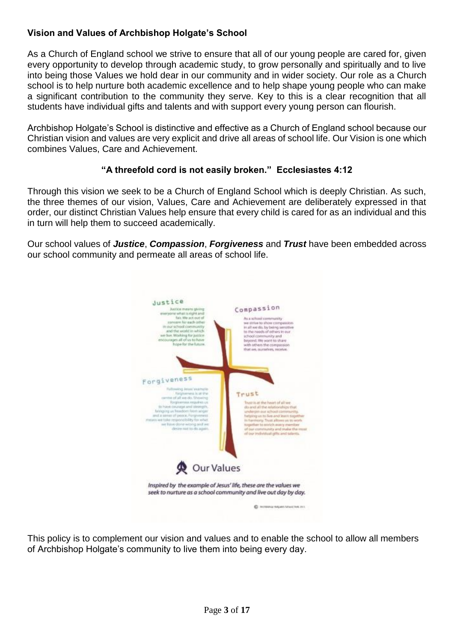## <span id="page-2-0"></span>**Vision and Values of Archbishop Holgate's School**

As a Church of England school we strive to ensure that all of our young people are cared for, given every opportunity to develop through academic study, to grow personally and spiritually and to live into being those Values we hold dear in our community and in wider society. Our role as a Church school is to help nurture both academic excellence and to help shape young people who can make a significant contribution to the community they serve. Key to this is a clear recognition that all students have individual gifts and talents and with support every young person can flourish.

Archbishop Holgate's School is distinctive and effective as a Church of England school because our Christian vision and values are very explicit and drive all areas of school life. Our Vision is one which combines Values, Care and Achievement.

#### **"A threefold cord is not easily broken." Ecclesiastes 4:12**

Through this vision we seek to be a Church of England School which is deeply Christian. As such, the three themes of our vision, Values, Care and Achievement are deliberately expressed in that order, our distinct Christian Values help ensure that every child is cared for as an individual and this in turn will help them to succeed academically.

Our school values of *Justice*, *Compassion*, *Forgiveness* and *Trust* have been embedded across our school community and permeate all areas of school life.



This policy is to complement our vision and values and to enable the school to allow all members of Archbishop Holgate's community to live them into being every day.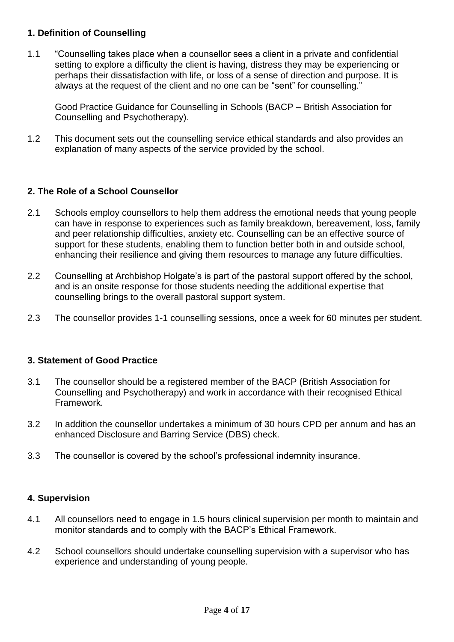## <span id="page-3-0"></span>**1. Definition of Counselling**

1.1 "Counselling takes place when a counsellor sees a client in a private and confidential setting to explore a difficulty the client is having, distress they may be experiencing or perhaps their dissatisfaction with life, or loss of a sense of direction and purpose. It is always at the request of the client and no one can be "sent" for counselling."

Good Practice Guidance for Counselling in Schools (BACP – British Association for Counselling and Psychotherapy).

1.2 This document sets out the counselling service ethical standards and also provides an explanation of many aspects of the service provided by the school.

## <span id="page-3-1"></span>**2. The Role of a School Counsellor**

- 2.1 Schools employ counsellors to help them address the emotional needs that young people can have in response to experiences such as family breakdown, bereavement, loss, family and peer relationship difficulties, anxiety etc. Counselling can be an effective source of support for these students, enabling them to function better both in and outside school, enhancing their resilience and giving them resources to manage any future difficulties.
- 2.2 Counselling at Archbishop Holgate's is part of the pastoral support offered by the school, and is an onsite response for those students needing the additional expertise that counselling brings to the overall pastoral support system.
- 2.3 The counsellor provides 1-1 counselling sessions, once a week for 60 minutes per student.

#### <span id="page-3-2"></span>**3. Statement of Good Practice**

- 3.1 The counsellor should be a registered member of the BACP (British Association for Counselling and Psychotherapy) and work in accordance with their recognised Ethical Framework.
- 3.2 In addition the counsellor undertakes a minimum of 30 hours CPD per annum and has an enhanced Disclosure and Barring Service (DBS) check.
- 3.3 The counsellor is covered by the school's professional indemnity insurance.

#### <span id="page-3-3"></span>**4. Supervision**

- 4.1 All counsellors need to engage in 1.5 hours clinical supervision per month to maintain and monitor standards and to comply with the BACP's Ethical Framework.
- 4.2 School counsellors should undertake counselling supervision with a supervisor who has experience and understanding of young people.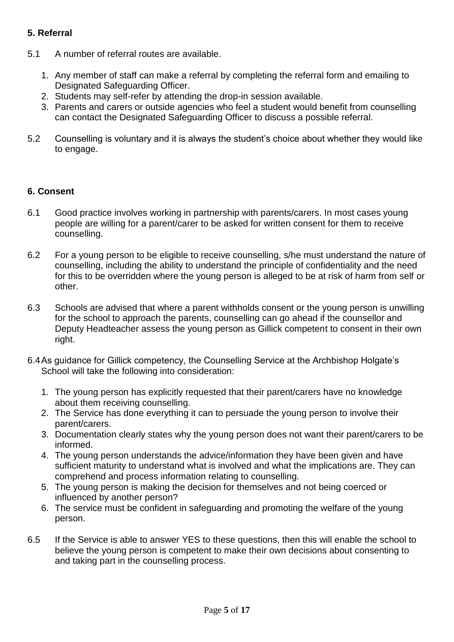## <span id="page-4-0"></span>**5. Referral**

- 5.1 A number of referral routes are available.
	- 1. Any member of staff can make a referral by completing the referral form and emailing to Designated Safeguarding Officer.
	- 2. Students may self-refer by attending the drop-in session available.
	- 3. Parents and carers or outside agencies who feel a student would benefit from counselling can contact the Designated Safeguarding Officer to discuss a possible referral.
- 5.2 Counselling is voluntary and it is always the student's choice about whether they would like to engage.

## <span id="page-4-1"></span>**6. Consent**

- 6.1 Good practice involves working in partnership with parents/carers. In most cases young people are willing for a parent/carer to be asked for written consent for them to receive counselling.
- 6.2 For a young person to be eligible to receive counselling, s/he must understand the nature of counselling, including the ability to understand the principle of confidentiality and the need for this to be overridden where the young person is alleged to be at risk of harm from self or other.
- 6.3 Schools are advised that where a parent withholds consent or the young person is unwilling for the school to approach the parents, counselling can go ahead if the counsellor and Deputy Headteacher assess the young person as Gillick competent to consent in their own right.
- 6.4As guidance for Gillick competency, the Counselling Service at the Archbishop Holgate's School will take the following into consideration:
	- 1. The young person has explicitly requested that their parent/carers have no knowledge about them receiving counselling.
	- 2. The Service has done everything it can to persuade the young person to involve their parent/carers.
	- 3. Documentation clearly states why the young person does not want their parent/carers to be informed.
	- 4. The young person understands the advice/information they have been given and have sufficient maturity to understand what is involved and what the implications are. They can comprehend and process information relating to counselling.
	- 5. The young person is making the decision for themselves and not being coerced or influenced by another person?
	- 6. The service must be confident in safeguarding and promoting the welfare of the young person.
- 6.5 If the Service is able to answer YES to these questions, then this will enable the school to believe the young person is competent to make their own decisions about consenting to and taking part in the counselling process.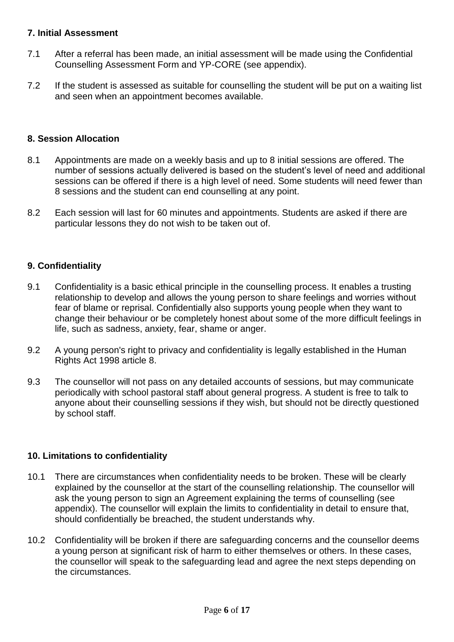## <span id="page-5-0"></span>**7. Initial Assessment**

- 7.1 After a referral has been made, an initial assessment will be made using the Confidential Counselling Assessment Form and YP-CORE (see appendix).
- 7.2 If the student is assessed as suitable for counselling the student will be put on a waiting list and seen when an appointment becomes available.

## <span id="page-5-1"></span>**8. Session Allocation**

- 8.1 Appointments are made on a weekly basis and up to 8 initial sessions are offered. The number of sessions actually delivered is based on the student's level of need and additional sessions can be offered if there is a high level of need. Some students will need fewer than 8 sessions and the student can end counselling at any point.
- 8.2 Each session will last for 60 minutes and appointments. Students are asked if there are particular lessons they do not wish to be taken out of.

## <span id="page-5-2"></span>**9. Confidentiality**

- 9.1 Confidentiality is a basic ethical principle in the counselling process. It enables a trusting relationship to develop and allows the young person to share feelings and worries without fear of blame or reprisal. Confidentially also supports young people when they want to change their behaviour or be completely honest about some of the more difficult feelings in life, such as sadness, anxiety, fear, shame or anger.
- 9.2 A young person's right to privacy and confidentiality is legally established in the Human Rights Act 1998 article 8.
- 9.3 The counsellor will not pass on any detailed accounts of sessions, but may communicate periodically with school pastoral staff about general progress. A student is free to talk to anyone about their counselling sessions if they wish, but should not be directly questioned by school staff.

#### <span id="page-5-3"></span>**10. Limitations to confidentiality**

- 10.1 There are circumstances when confidentiality needs to be broken. These will be clearly explained by the counsellor at the start of the counselling relationship. The counsellor will ask the young person to sign an Agreement explaining the terms of counselling (see appendix). The counsellor will explain the limits to confidentiality in detail to ensure that, should confidentially be breached, the student understands why.
- 10.2 Confidentiality will be broken if there are safeguarding concerns and the counsellor deems a young person at significant risk of harm to either themselves or others. In these cases, the counsellor will speak to the safeguarding lead and agree the next steps depending on the circumstances.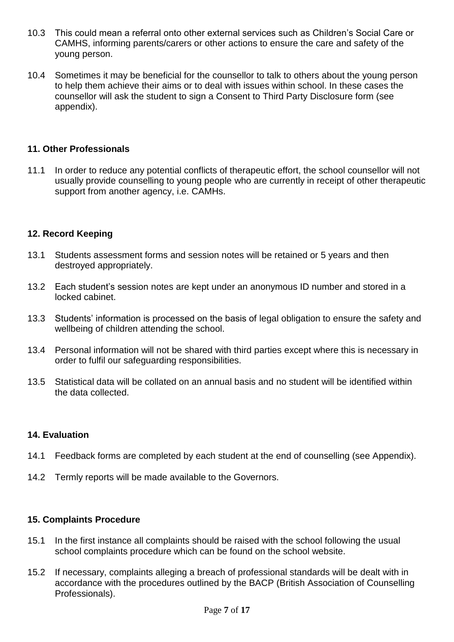- 10.3 This could mean a referral onto other external services such as Children's Social Care or CAMHS, informing parents/carers or other actions to ensure the care and safety of the young person.
- 10.4 Sometimes it may be beneficial for the counsellor to talk to others about the young person to help them achieve their aims or to deal with issues within school. In these cases the counsellor will ask the student to sign a Consent to Third Party Disclosure form (see appendix).

## <span id="page-6-0"></span>**11. Other Professionals**

11.1 In order to reduce any potential conflicts of therapeutic effort, the school counsellor will not usually provide counselling to young people who are currently in receipt of other therapeutic support from another agency, i.e. CAMHs.

## <span id="page-6-1"></span>**12. Record Keeping**

- 13.1 Students assessment forms and session notes will be retained or 5 years and then destroyed appropriately.
- 13.2 Each student's session notes are kept under an anonymous ID number and stored in a locked cabinet.
- 13.3 Students' information is processed on the basis of legal obligation to ensure the safety and wellbeing of children attending the school.
- 13.4 Personal information will not be shared with third parties except where this is necessary in order to fulfil our safeguarding responsibilities.
- 13.5 Statistical data will be collated on an annual basis and no student will be identified within the data collected.

#### <span id="page-6-2"></span>**14. Evaluation**

- 14.1 Feedback forms are completed by each student at the end of counselling (see Appendix).
- 14.2 Termly reports will be made available to the Governors.

#### <span id="page-6-3"></span>**15. Complaints Procedure**

- 15.1 In the first instance all complaints should be raised with the school following the usual school complaints procedure which can be found on the school website.
- 15.2 If necessary, complaints alleging a breach of professional standards will be dealt with in accordance with the procedures outlined by the BACP (British Association of Counselling Professionals).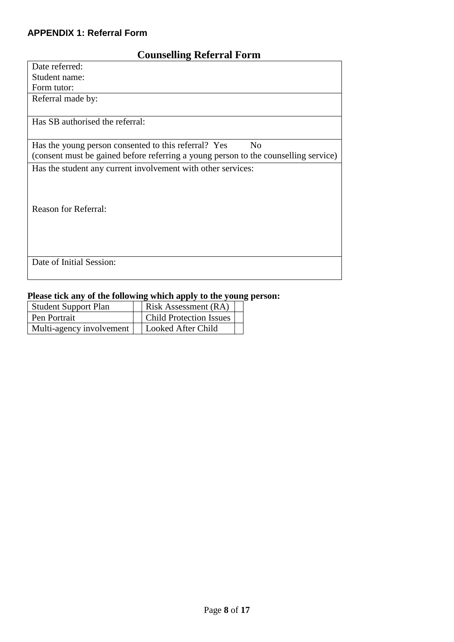## <span id="page-7-0"></span>**APPENDIX 1: Referral Form**

## **Counselling Referral Form**

| Date referred:                                                                      |
|-------------------------------------------------------------------------------------|
| Student name:                                                                       |
| Form tutor:                                                                         |
| Referral made by:                                                                   |
|                                                                                     |
| Has SB authorised the referral:                                                     |
|                                                                                     |
| Has the young person consented to this referral? Yes<br>N <sub>0</sub>              |
| (consent must be gained before referring a young person to the counselling service) |
| Has the student any current involvement with other services:                        |
|                                                                                     |
|                                                                                     |
|                                                                                     |
| <b>Reason for Referral:</b>                                                         |
|                                                                                     |
|                                                                                     |
|                                                                                     |
| Date of Initial Session:                                                            |
|                                                                                     |
|                                                                                     |

## **Please tick any of the following which apply to the young person:**

| <b>Student Support Plan</b> | Risk Assessment (RA)           |
|-----------------------------|--------------------------------|
| <b>Pen Portrait</b>         | <b>Child Protection Issues</b> |
| Multi-agency involvement    | Looked After Child             |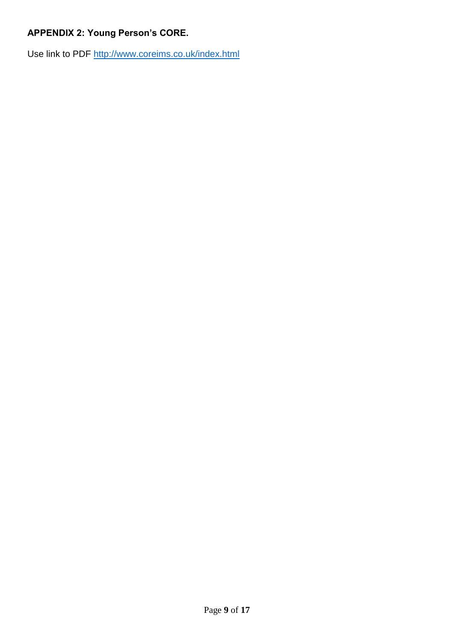## <span id="page-8-0"></span>**APPENDIX 2: Young Person's CORE.**

Use link to PDF<http://www.coreims.co.uk/index.html>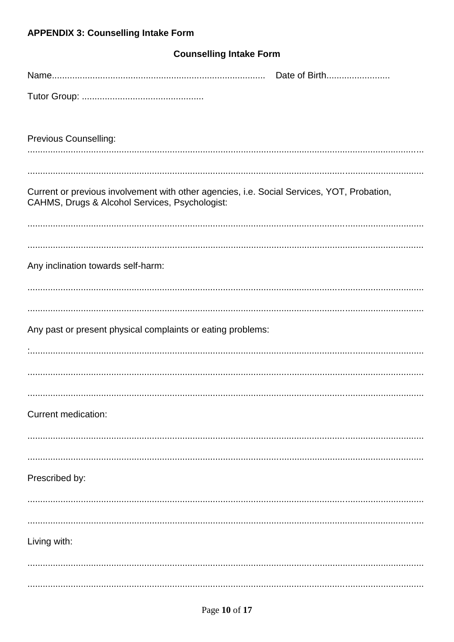# <span id="page-9-0"></span>**APPENDIX 3: Counselling Intake Form**

| <b>Counselling Intake Form</b>                                                                                                               |  |  |  |  |  |  |
|----------------------------------------------------------------------------------------------------------------------------------------------|--|--|--|--|--|--|
| Date of Birth                                                                                                                                |  |  |  |  |  |  |
|                                                                                                                                              |  |  |  |  |  |  |
| <b>Previous Counselling:</b>                                                                                                                 |  |  |  |  |  |  |
|                                                                                                                                              |  |  |  |  |  |  |
| Current or previous involvement with other agencies, i.e. Social Services, YOT, Probation,<br>CAHMS, Drugs & Alcohol Services, Psychologist: |  |  |  |  |  |  |
|                                                                                                                                              |  |  |  |  |  |  |
|                                                                                                                                              |  |  |  |  |  |  |
| Any inclination towards self-harm:                                                                                                           |  |  |  |  |  |  |
|                                                                                                                                              |  |  |  |  |  |  |
| Any past or present physical complaints or eating problems:                                                                                  |  |  |  |  |  |  |
|                                                                                                                                              |  |  |  |  |  |  |
|                                                                                                                                              |  |  |  |  |  |  |
|                                                                                                                                              |  |  |  |  |  |  |
| Current medication:                                                                                                                          |  |  |  |  |  |  |
|                                                                                                                                              |  |  |  |  |  |  |
| Prescribed by:                                                                                                                               |  |  |  |  |  |  |
|                                                                                                                                              |  |  |  |  |  |  |
|                                                                                                                                              |  |  |  |  |  |  |
| Living with:                                                                                                                                 |  |  |  |  |  |  |
|                                                                                                                                              |  |  |  |  |  |  |
|                                                                                                                                              |  |  |  |  |  |  |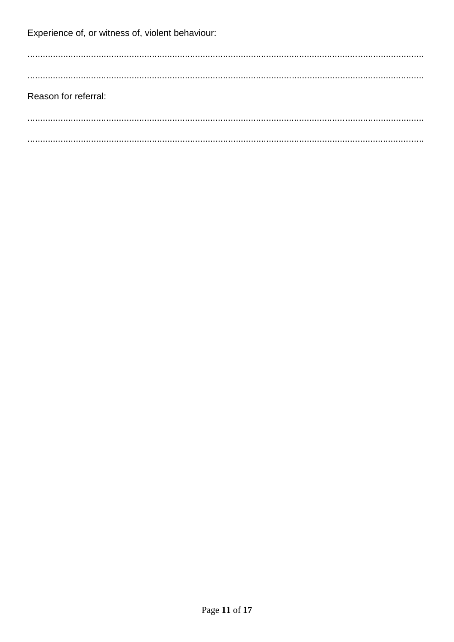Experience of, or witness of, violent behaviour:

Reason for referral: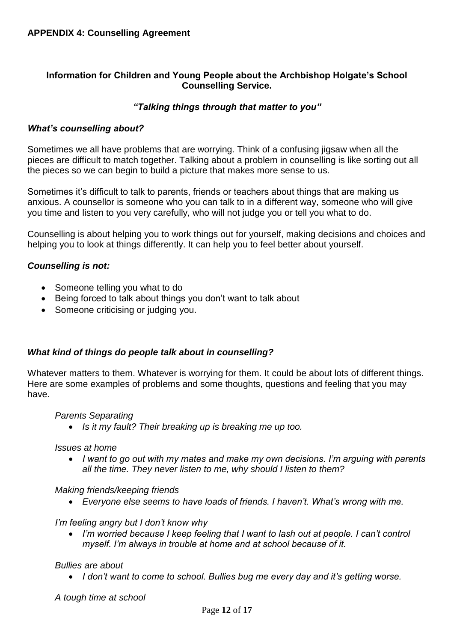## <span id="page-11-0"></span>**Information for Children and Young People about the Archbishop Holgate's School Counselling Service.**

## *"Talking things through that matter to you"*

#### *What's counselling about?*

Sometimes we all have problems that are worrying. Think of a confusing jigsaw when all the pieces are difficult to match together. Talking about a problem in counselling is like sorting out all the pieces so we can begin to build a picture that makes more sense to us.

Sometimes it's difficult to talk to parents, friends or teachers about things that are making us anxious. A counsellor is someone who you can talk to in a different way, someone who will give you time and listen to you very carefully, who will not judge you or tell you what to do.

Counselling is about helping you to work things out for yourself, making decisions and choices and helping you to look at things differently. It can help you to feel better about yourself.

#### *Counselling is not:*

- Someone telling you what to do
- Being forced to talk about things you don't want to talk about
- Someone criticising or judging you.

#### *What kind of things do people talk about in counselling?*

Whatever matters to them. Whatever is worrying for them. It could be about lots of different things. Here are some examples of problems and some thoughts, questions and feeling that you may have.

#### *Parents Separating*

• *Is it my fault? Their breaking up is breaking me up too.*

#### *Issues at home*

• *I want to go out with my mates and make my own decisions. I'm arguing with parents all the time. They never listen to me, why should I listen to them?*

#### *Making friends/keeping friends*

• *Everyone else seems to have loads of friends. I haven't. What's wrong with me.*

*I'm feeling angry but I don't know why* 

• *I'm worried because I keep feeling that I want to lash out at people. I can't control myself. I'm always in trouble at home and at school because of it.*

#### *Bullies are about*

• *I don't want to come to school. Bullies bug me every day and it's getting worse.*

*A tough time at school*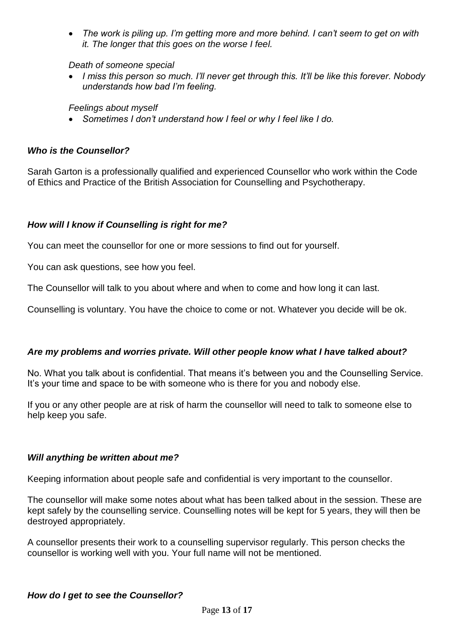• *The work is piling up. I'm getting more and more behind. I can't seem to get on with it. The longer that this goes on the worse I feel.*

*Death of someone special*

• *I miss this person so much. I'll never get through this. It'll be like this forever. Nobody understands how bad I'm feeling.*

*Feelings about myself*

• *Sometimes I don't understand how I feel or why I feel like I do.*

### *Who is the Counsellor?*

Sarah Garton is a professionally qualified and experienced Counsellor who work within the Code of Ethics and Practice of the British Association for Counselling and Psychotherapy.

## *How will I know if Counselling is right for me?*

You can meet the counsellor for one or more sessions to find out for yourself.

You can ask questions, see how you feel.

The Counsellor will talk to you about where and when to come and how long it can last.

Counselling is voluntary. You have the choice to come or not. Whatever you decide will be ok.

#### *Are my problems and worries private. Will other people know what I have talked about?*

No. What you talk about is confidential. That means it's between you and the Counselling Service. It's your time and space to be with someone who is there for you and nobody else.

If you or any other people are at risk of harm the counsellor will need to talk to someone else to help keep you safe.

#### *Will anything be written about me?*

Keeping information about people safe and confidential is very important to the counsellor.

The counsellor will make some notes about what has been talked about in the session. These are kept safely by the counselling service. Counselling notes will be kept for 5 years, they will then be destroyed appropriately.

A counsellor presents their work to a counselling supervisor regularly. This person checks the counsellor is working well with you. Your full name will not be mentioned.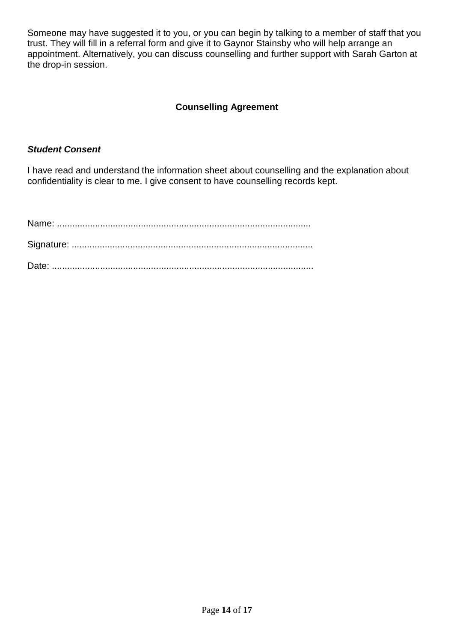Someone may have suggested it to you, or you can begin by talking to a member of staff that you trust. They will fill in a referral form and give it to Gaynor Stainsby who will help arrange an appointment. Alternatively, you can discuss counselling and further support with Sarah Garton at the drop-in session.

## **Counselling Agreement**

### *Student Consent*

I have read and understand the information sheet about counselling and the explanation about confidentiality is clear to me. I give consent to have counselling records kept.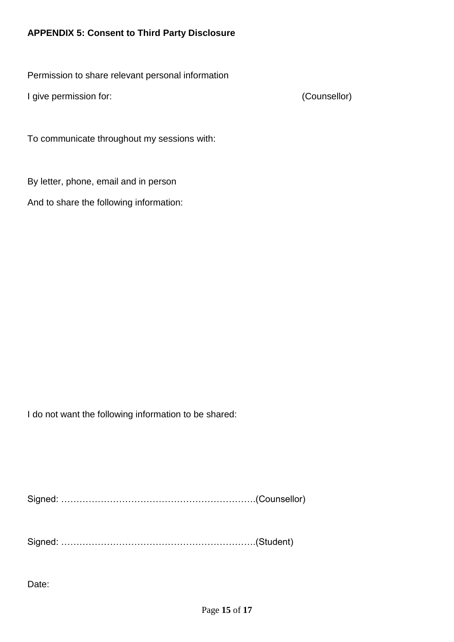## <span id="page-14-0"></span>**APPENDIX 5: Consent to Third Party Disclosure**

Permission to share relevant personal information

I give permission for: (Counsellor)

To communicate throughout my sessions with:

By letter, phone, email and in person

And to share the following information:

I do not want the following information to be shared:

Signed: ……………………………………………………….(Counsellor)

Signed: ……………………………………………………….(Student)

Date: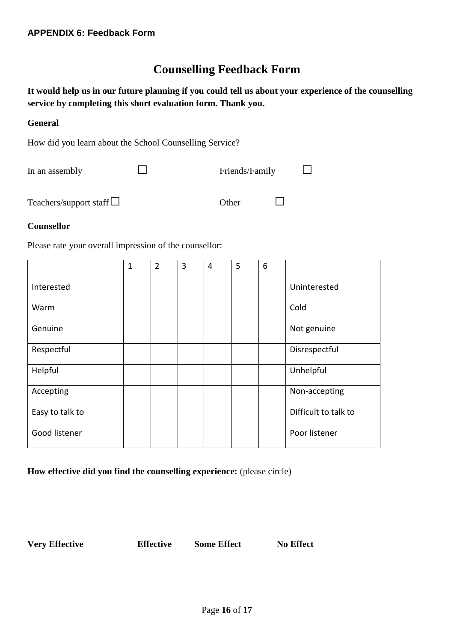## **Counselling Feedback Form**

<span id="page-15-0"></span>**It would help us in our future planning if you could tell us about your experience of the counselling service by completing this short evaluation form. Thank you.** 

#### **General**

How did you learn about the School Counselling Service?

| In an assembly                |       | Friends/Family |  |  |
|-------------------------------|-------|----------------|--|--|
| Teachers/support staff $\Box$ | Other |                |  |  |

#### **Counsellor**

Please rate your overall impression of the counsellor:

|                 | 1 | $\overline{2}$ | 3 | $\overline{4}$ | 5 | 6 |                      |
|-----------------|---|----------------|---|----------------|---|---|----------------------|
| Interested      |   |                |   |                |   |   | Uninterested         |
| Warm            |   |                |   |                |   |   | Cold                 |
| Genuine         |   |                |   |                |   |   | Not genuine          |
| Respectful      |   |                |   |                |   |   | Disrespectful        |
| Helpful         |   |                |   |                |   |   | Unhelpful            |
| Accepting       |   |                |   |                |   |   | Non-accepting        |
| Easy to talk to |   |                |   |                |   |   | Difficult to talk to |
| Good listener   |   |                |   |                |   |   | Poor listener        |

**How effective did you find the counselling experience:** (please circle)

**Very Effective Effective Some Effect No Effect**